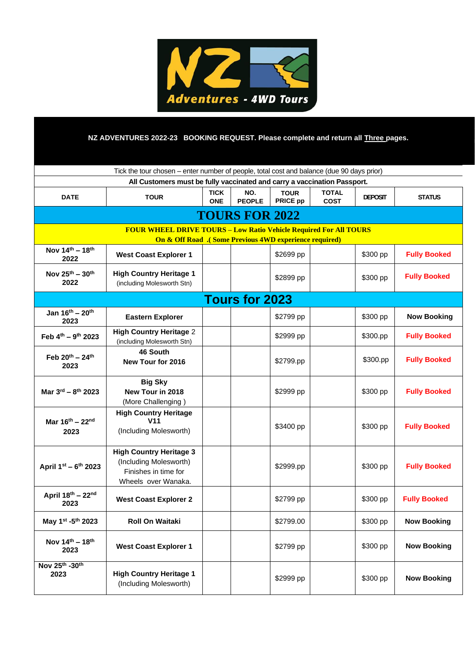

# **NZ ADVENTURES 2022-23 BOOKING REQUEST. Please complete and return all Three pages.**

| Tick the tour chosen – enter number of people, total cost and balance (due 90 days prior)                                                      |                                                                                                         |                           |                      |                                |                             |                |                     |
|------------------------------------------------------------------------------------------------------------------------------------------------|---------------------------------------------------------------------------------------------------------|---------------------------|----------------------|--------------------------------|-----------------------------|----------------|---------------------|
| All Customers must be fully vaccinated and carry a vaccination Passport.                                                                       |                                                                                                         |                           |                      |                                |                             |                |                     |
| <b>DATE</b>                                                                                                                                    | <b>TOUR</b>                                                                                             | <b>TICK</b><br><b>ONE</b> | NO.<br><b>PEOPLE</b> | <b>TOUR</b><br><b>PRICE pp</b> | <b>TOTAL</b><br><b>COST</b> | <b>DEPOSIT</b> | <b>STATUS</b>       |
| <b>TOURS FOR 2022</b>                                                                                                                          |                                                                                                         |                           |                      |                                |                             |                |                     |
| <b>FOUR WHEEL DRIVE TOURS - Low Ratio Vehicle Required For All TOURS</b><br><b>On &amp; Off Road</b> .( Some Previous 4WD experience required) |                                                                                                         |                           |                      |                                |                             |                |                     |
| Nov 14th - 18th<br>2022                                                                                                                        | <b>West Coast Explorer 1</b>                                                                            |                           |                      | \$2699 pp                      |                             | \$300 pp       | <b>Fully Booked</b> |
| Nov 25 <sup>th</sup> - 30 <sup>th</sup><br>2022                                                                                                | <b>High Country Heritage 1</b><br>(including Molesworth Stn)                                            |                           |                      | \$2899 pp                      |                             | \$300 pp       | <b>Fully Booked</b> |
| <b>Tours for 2023</b>                                                                                                                          |                                                                                                         |                           |                      |                                |                             |                |                     |
| Jan $16^{th} - 20^{th}$<br>2023                                                                                                                | <b>Eastern Explorer</b>                                                                                 |                           |                      | \$2799 pp                      |                             | \$300 pp       | <b>Now Booking</b>  |
| Feb 4th - 9th 2023                                                                                                                             | <b>High Country Heritage 2</b><br>(including Molesworth Stn)                                            |                           |                      | \$2999 pp                      |                             | \$300.pp       | <b>Fully Booked</b> |
| Feb $20^{th} - 24^{th}$<br>2023                                                                                                                | 46 South<br>New Tour for 2016                                                                           |                           |                      | \$2799.pp                      |                             | \$300.pp       | <b>Fully Booked</b> |
| Mar 3rd - 8th 2023                                                                                                                             | <b>Big Sky</b><br>New Tour in 2018<br>(More Challenging)                                                |                           |                      | \$2999 pp                      |                             | \$300 pp       | <b>Fully Booked</b> |
| Mar $16^{th} - 22^{nd}$<br>2023                                                                                                                | <b>High Country Heritage</b><br>V <sub>11</sub><br>(Including Molesworth)                               |                           |                      | \$3400 pp                      |                             | \$300 pp       | <b>Fully Booked</b> |
| April 1st - 6th 2023                                                                                                                           | <b>High Country Heritage 3</b><br>(Including Molesworth)<br>Finishes in time for<br>Wheels over Wanaka. |                           |                      | \$2999.pp                      |                             | \$300 pp       | <b>Fully Booked</b> |
| April 18th - 22nd<br>2023                                                                                                                      | <b>West Coast Explorer 2</b>                                                                            |                           |                      | \$2799 pp                      |                             | \$300 pp       | <b>Fully Booked</b> |
| May 1st -5th 2023                                                                                                                              | Roll On Waitaki                                                                                         |                           |                      | \$2799.00                      |                             | \$300 pp       | <b>Now Booking</b>  |
| Nov $14^{th} - 18^{th}$<br>2023                                                                                                                | <b>West Coast Explorer 1</b>                                                                            |                           |                      | \$2799 pp                      |                             | \$300 pp       | <b>Now Booking</b>  |
| Nov 25th -30th<br>2023                                                                                                                         | <b>High Country Heritage 1</b><br>(Including Molesworth)                                                |                           |                      | \$2999 pp                      |                             | \$300 pp       | <b>Now Booking</b>  |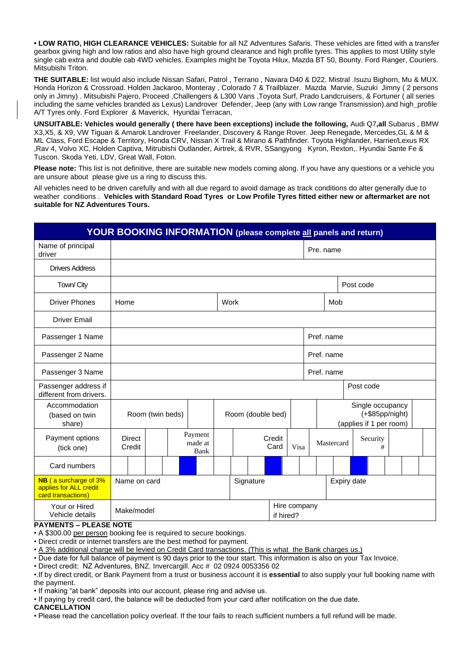**• LOW RATIO, HIGH CLEARANCE VEHICLES:** Suitable for all NZ Adventures Safaris. These vehicles are fitted with a transfer gearbox giving high and low ratios and also have high ground clearance and high profile tyres. This applies to most Utility style single cab extra and double cab 4WD vehicles. Examples might be Toyota Hilux, Mazda BT 50, Bounty. Ford Ranger, Couriers. Mitsubishi Triton.

**THE SUITABLE:** list would also include Nissan Safari, Patrol , Terrano , Navara D40 & D22. Mistral .Isuzu Bighorn, Mu & MUX. Honda Horizon & Crossroad. Holden Jackaroo, Monteray , Colorado 7 & Trailblazer. Mazda Marvie, Suzuki Jimny ( 2 persons only in Jimny) . Mitsubishi Pajero, Proceed ,Challengers & L300 Vans ,Toyota Surf, Prado Landcruisers, & Fortuner ( all series including the same vehicles branded as Lexus) Landrover Defender, Jeep (any with Low range Transmission).and high profile A/T Tyres only. Ford Explorer & Maverick, Hyundai Terracan,

**UNSUITABLE: Vehicles would generally ( there have been exceptions) include the following,** Audi Q7**,all** Subarus , BMW X3,X5, & X9, VW Tiguan & Amarok Landrover Freelander, Discovery & Range Rover. Jeep Renegade, Mercedes,GL & M & ML Class, Ford Escape & Territory, Honda CRV, Nissan X Trail & Mirano & Pathfinder. Toyota Highlander, Harrier/Lexus RX ,Rav 4, Volvo XC, Holden Captiva, Mitrubishi Outlander, Airtrek, & RVR, SSangyong Kyron, Rexton,. Hyundai Sante Fe & Tuscon. Skoda Yeti, LDV, Great Wall, Foton.

**Please note:** This list is not definitive, there are suitable new models coming along. If you have any questions or a vehicle you are unsure about please give us a ring to discuss this.

All vehicles need to be driven carefully and with all due regard to avoid damage as track conditions do alter generally due to weather conditions . **Vehicles with Standard Road Tyres or Low Profile Tyres fitted either new or aftermarket are not suitable for NZ Adventures Tours.**

| <b>YOUR BOOKING INFORMATION</b> (please complete all panels and return)      |                                       |  |                            |  |                                                                  |                |      |     |            |           |   |  |  |
|------------------------------------------------------------------------------|---------------------------------------|--|----------------------------|--|------------------------------------------------------------------|----------------|------|-----|------------|-----------|---|--|--|
| Name of principal<br>driver                                                  |                                       |  |                            |  |                                                                  | Pre. name      |      |     |            |           |   |  |  |
| <b>Drivers Address</b>                                                       |                                       |  |                            |  |                                                                  |                |      |     |            |           |   |  |  |
| Town/ City                                                                   |                                       |  |                            |  |                                                                  |                |      |     |            | Post code |   |  |  |
| <b>Driver Phones</b>                                                         | Home                                  |  |                            |  | Work                                                             |                |      | Mob |            |           |   |  |  |
| <b>Driver Email</b>                                                          |                                       |  |                            |  |                                                                  |                |      |     |            |           |   |  |  |
| Passenger 1 Name                                                             | Pref. name                            |  |                            |  |                                                                  |                |      |     |            |           |   |  |  |
| Passenger 2 Name                                                             | Pref. name                            |  |                            |  |                                                                  |                |      |     |            |           |   |  |  |
| Passenger 3 Name                                                             | Pref. name                            |  |                            |  |                                                                  |                |      |     |            |           |   |  |  |
| Passenger address if<br>different from drivers.                              |                                       |  |                            |  |                                                                  |                |      |     |            | Post code |   |  |  |
| Accommodation<br>(based on twin<br>share)                                    | Room (twin beds)<br>Room (double bed) |  |                            |  | Single occupancy<br>$(+\$85pp/night)$<br>(applies if 1 per room) |                |      |     |            |           |   |  |  |
| Payment options<br>(tick one)                                                | <b>Direct</b><br>Credit               |  | Payment<br>made at<br>Bank |  |                                                                  | Credit<br>Card | Visa |     | Mastercard | Security  | # |  |  |
| Card numbers                                                                 |                                       |  |                            |  |                                                                  |                |      |     |            |           |   |  |  |
| <b>NB</b> (a surcharge of 3%<br>applies for ALL credit<br>card transactions) | Name on card<br>Signature             |  |                            |  |                                                                  | Expiry date    |      |     |            |           |   |  |  |
| Your or Hired<br>Vehicle details                                             | Make/model<br>if hired?               |  |                            |  |                                                                  | Hire company   |      |     |            |           |   |  |  |

# **PAYMENTS – PLEASE NOTE**

• A \$300.00 per person booking fee is required to secure bookings.

• Direct credit or internet transfers are the best method for payment.

• A 3% additional charge will be levied on Credit Card transactions. (This is what the Bank charges us.)

• Due date for full balance of payment is 90 days prior to the tour start. This information is also on your Tax Invoice.

• Direct credit: NZ Adventures, BNZ. Invercargill. Acc # 02 0924 0053356 02

•.If by direct credit, or Bank Payment from a trust or business account it is **essential** to also supply your full booking name with the payment.

• If making "at bank" deposits into our account, please ring and advise us.

• If paying by credit card, the balance will be deducted from your card after notification on the due date.

## **CANCELLATION**

• Please read the cancellation policy overleaf. If the tour fails to reach sufficient numbers a full refund will be made.